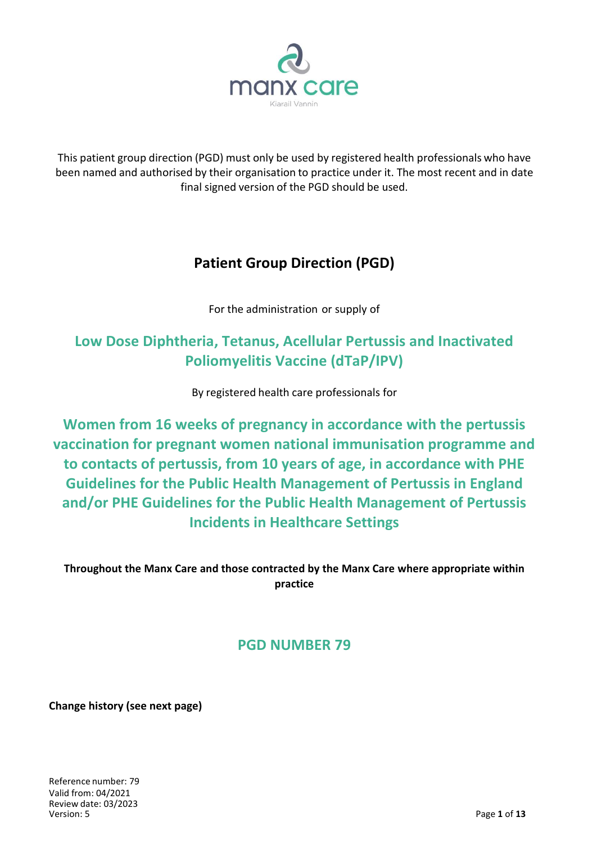

This patient group direction (PGD) must only be used by registered health professionals who have been named and authorised by their organisation to practice under it. The most recent and in date final signed version of the PGD should be used.

# **Patient Group Direction (PGD)**

For the administration or supply of

# **Low Dose Diphtheria, Tetanus, Acellular Pertussis and Inactivated Poliomyelitis Vaccine (dTaP/IPV)**

By registered health care professionals for

**Women from 16 weeks of pregnancy in accordance with the pertussis vaccination for pregnant women national immunisation programme and to contacts of pertussis, from 10 years of age, in accordance with PHE Guidelines for the Public Health Management of Pertussis in England and/or PHE Guidelines for the Public Health Management of Pertussis Incidents in Healthcare Settings**

**Throughout the Manx Care and those contracted by the Manx Care where appropriate within practice**

## **PGD NUMBER 79**

**Change history (see next page)**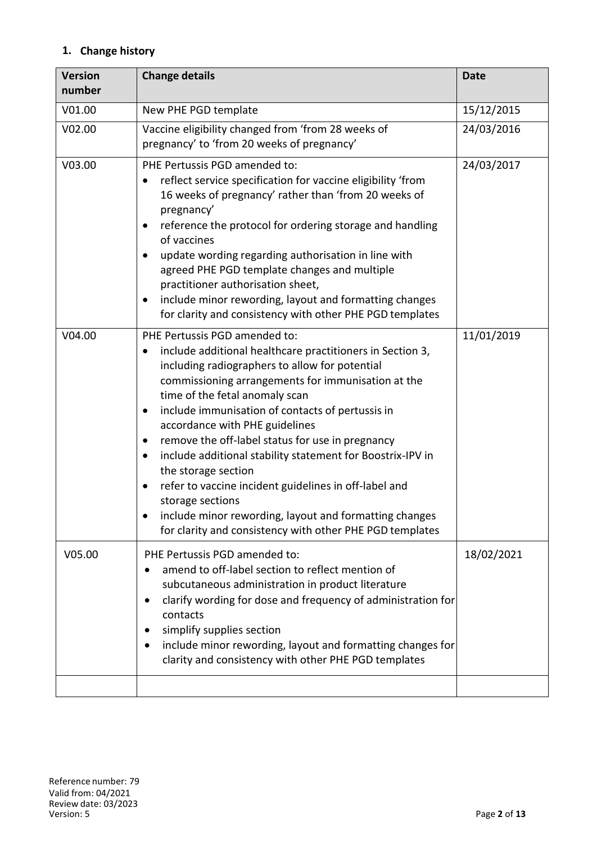### **1. Change history**

| <b>Version</b><br>number | <b>Change details</b>                                                                                                                                                                                                                                                                                                                                                                                                                                                                                                                                                                                                                                                                      | <b>Date</b> |
|--------------------------|--------------------------------------------------------------------------------------------------------------------------------------------------------------------------------------------------------------------------------------------------------------------------------------------------------------------------------------------------------------------------------------------------------------------------------------------------------------------------------------------------------------------------------------------------------------------------------------------------------------------------------------------------------------------------------------------|-------------|
| V01.00                   | New PHE PGD template                                                                                                                                                                                                                                                                                                                                                                                                                                                                                                                                                                                                                                                                       | 15/12/2015  |
| V02.00                   | Vaccine eligibility changed from 'from 28 weeks of<br>pregnancy' to 'from 20 weeks of pregnancy'                                                                                                                                                                                                                                                                                                                                                                                                                                                                                                                                                                                           | 24/03/2016  |
| V03.00                   | PHE Pertussis PGD amended to:<br>reflect service specification for vaccine eligibility 'from<br>16 weeks of pregnancy' rather than 'from 20 weeks of<br>pregnancy'<br>reference the protocol for ordering storage and handling<br>of vaccines<br>update wording regarding authorisation in line with<br>$\bullet$<br>agreed PHE PGD template changes and multiple<br>practitioner authorisation sheet,<br>include minor rewording, layout and formatting changes<br>for clarity and consistency with other PHE PGD templates                                                                                                                                                               | 24/03/2017  |
| V04.00                   | PHE Pertussis PGD amended to:<br>include additional healthcare practitioners in Section 3,<br>including radiographers to allow for potential<br>commissioning arrangements for immunisation at the<br>time of the fetal anomaly scan<br>include immunisation of contacts of pertussis in<br>٠<br>accordance with PHE guidelines<br>remove the off-label status for use in pregnancy<br>٠<br>include additional stability statement for Boostrix-IPV in<br>٠<br>the storage section<br>refer to vaccine incident guidelines in off-label and<br>٠<br>storage sections<br>include minor rewording, layout and formatting changes<br>for clarity and consistency with other PHE PGD templates | 11/01/2019  |
| V05.00                   | PHE Pertussis PGD amended to:<br>amend to off-label section to reflect mention of<br>subcutaneous administration in product literature<br>clarify wording for dose and frequency of administration for<br>contacts<br>simplify supplies section<br>include minor rewording, layout and formatting changes for<br>clarity and consistency with other PHE PGD templates                                                                                                                                                                                                                                                                                                                      | 18/02/2021  |
|                          |                                                                                                                                                                                                                                                                                                                                                                                                                                                                                                                                                                                                                                                                                            |             |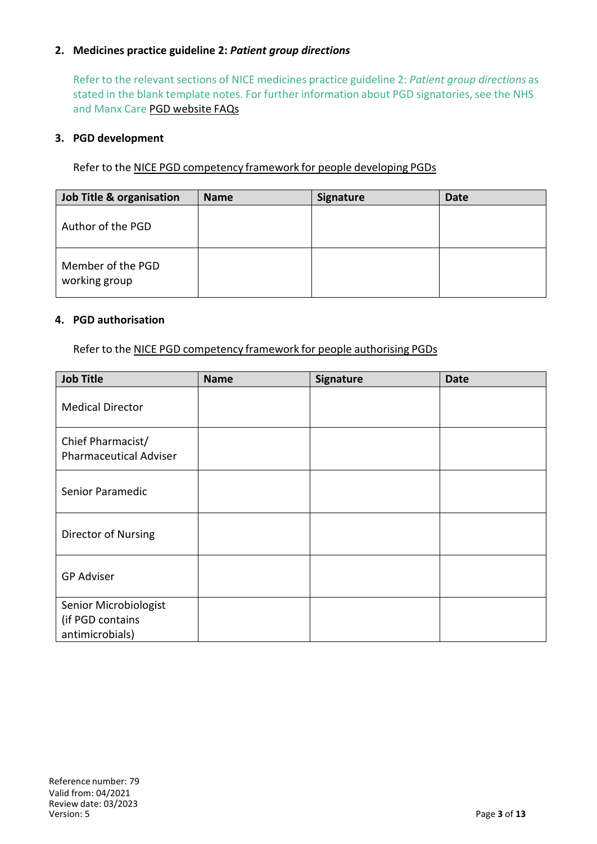#### **2. Medicines practice guideline 2:** *Patient group directions*

Refer to the relevant sections of NICE medicines practice guideline 2: *Patient group directions* as stated in the blank template notes. For further information about PGD signatories, see the NHS and Manx Care PGD website FAQs

#### **3. PGD development**

Refer to the NICE PGD competency framework for people developing PGDs

| Job Title & organisation           | <b>Name</b> | <b>Signature</b> | <b>Date</b> |
|------------------------------------|-------------|------------------|-------------|
| Author of the PGD                  |             |                  |             |
| Member of the PGD<br>working group |             |                  |             |

#### **4. PGD authorisation**

Refer to the NICE PGD competency framework for people authorising PGDs

| <b>Job Title</b>                                             | <b>Name</b> | Signature | <b>Date</b> |
|--------------------------------------------------------------|-------------|-----------|-------------|
| <b>Medical Director</b>                                      |             |           |             |
| Chief Pharmacist/<br><b>Pharmaceutical Adviser</b>           |             |           |             |
| Senior Paramedic                                             |             |           |             |
| Director of Nursing                                          |             |           |             |
| <b>GP Adviser</b>                                            |             |           |             |
| Senior Microbiologist<br>(if PGD contains<br>antimicrobials) |             |           |             |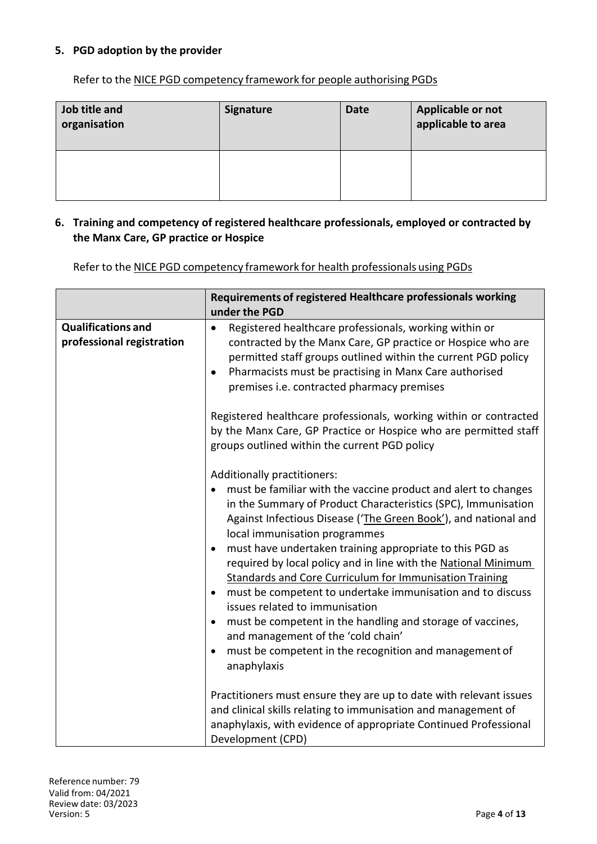#### **5. PGD adoption by the provider**

Refer to the NICE PGD competency framework for people authorising PGDs

| Job title and<br>organisation | <b>Signature</b> | <b>Date</b> | Applicable or not<br>applicable to area |
|-------------------------------|------------------|-------------|-----------------------------------------|
|                               |                  |             |                                         |

#### **6. Training and competency of registered healthcare professionals, employed or contracted by the Manx Care, GP practice or Hospice**

Refer to the NICE PGD competency framework for health professionals using PGDs

|                                                        | Requirements of registered Healthcare professionals working<br>under the PGD                                                                                                                                                                                                                                                                                                                                                                                                                                                                                                                                                                                                                                                                                                                        |
|--------------------------------------------------------|-----------------------------------------------------------------------------------------------------------------------------------------------------------------------------------------------------------------------------------------------------------------------------------------------------------------------------------------------------------------------------------------------------------------------------------------------------------------------------------------------------------------------------------------------------------------------------------------------------------------------------------------------------------------------------------------------------------------------------------------------------------------------------------------------------|
| <b>Qualifications and</b><br>professional registration | Registered healthcare professionals, working within or<br>$\bullet$<br>contracted by the Manx Care, GP practice or Hospice who are<br>permitted staff groups outlined within the current PGD policy<br>Pharmacists must be practising in Manx Care authorised<br>$\bullet$<br>premises i.e. contracted pharmacy premises<br>Registered healthcare professionals, working within or contracted                                                                                                                                                                                                                                                                                                                                                                                                       |
|                                                        | by the Manx Care, GP Practice or Hospice who are permitted staff<br>groups outlined within the current PGD policy                                                                                                                                                                                                                                                                                                                                                                                                                                                                                                                                                                                                                                                                                   |
|                                                        | Additionally practitioners:<br>must be familiar with the vaccine product and alert to changes<br>in the Summary of Product Characteristics (SPC), Immunisation<br>Against Infectious Disease ('The Green Book'), and national and<br>local immunisation programmes<br>must have undertaken training appropriate to this PGD as<br>$\bullet$<br>required by local policy and in line with the National Minimum<br><b>Standards and Core Curriculum for Immunisation Training</b><br>must be competent to undertake immunisation and to discuss<br>$\bullet$<br>issues related to immunisation<br>must be competent in the handling and storage of vaccines,<br>$\bullet$<br>and management of the 'cold chain'<br>must be competent in the recognition and management of<br>$\bullet$<br>anaphylaxis |
|                                                        | Practitioners must ensure they are up to date with relevant issues<br>and clinical skills relating to immunisation and management of<br>anaphylaxis, with evidence of appropriate Continued Professional<br>Development (CPD)                                                                                                                                                                                                                                                                                                                                                                                                                                                                                                                                                                       |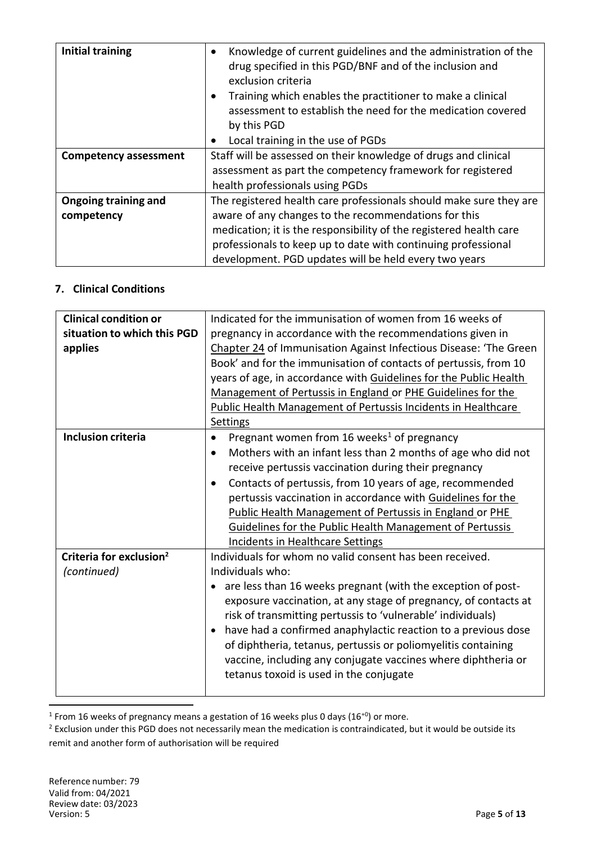| <b>Initial training</b>      | Knowledge of current guidelines and the administration of the<br>$\bullet$<br>drug specified in this PGD/BNF and of the inclusion and<br>exclusion criteria<br>Training which enables the practitioner to make a clinical |  |  |
|------------------------------|---------------------------------------------------------------------------------------------------------------------------------------------------------------------------------------------------------------------------|--|--|
|                              | assessment to establish the need for the medication covered<br>by this PGD                                                                                                                                                |  |  |
|                              | Local training in the use of PGDs<br>$\bullet$                                                                                                                                                                            |  |  |
| <b>Competency assessment</b> | Staff will be assessed on their knowledge of drugs and clinical                                                                                                                                                           |  |  |
|                              | assessment as part the competency framework for registered                                                                                                                                                                |  |  |
|                              | health professionals using PGDs                                                                                                                                                                                           |  |  |
| Ongoing training and         | The registered health care professionals should make sure they are                                                                                                                                                        |  |  |
| competency                   | aware of any changes to the recommendations for this                                                                                                                                                                      |  |  |
|                              | medication; it is the responsibility of the registered health care                                                                                                                                                        |  |  |
|                              | professionals to keep up to date with continuing professional                                                                                                                                                             |  |  |
|                              | development. PGD updates will be held every two years                                                                                                                                                                     |  |  |

#### **7. Clinical Conditions**

| <b>Clinical condition or</b>        | Indicated for the immunisation of women from 16 weeks of                   |  |  |
|-------------------------------------|----------------------------------------------------------------------------|--|--|
| situation to which this PGD         | pregnancy in accordance with the recommendations given in                  |  |  |
| applies                             | Chapter 24 of Immunisation Against Infectious Disease: 'The Green          |  |  |
|                                     | Book' and for the immunisation of contacts of pertussis, from 10           |  |  |
|                                     | years of age, in accordance with Guidelines for the Public Health          |  |  |
|                                     | Management of Pertussis in England or PHE Guidelines for the               |  |  |
|                                     | <b>Public Health Management of Pertussis Incidents in Healthcare</b>       |  |  |
|                                     | Settings                                                                   |  |  |
| <b>Inclusion criteria</b>           | Pregnant women from 16 weeks <sup>1</sup> of pregnancy<br>$\bullet$        |  |  |
|                                     | Mothers with an infant less than 2 months of age who did not<br>$\bullet$  |  |  |
|                                     | receive pertussis vaccination during their pregnancy                       |  |  |
|                                     | Contacts of pertussis, from 10 years of age, recommended<br>$\bullet$      |  |  |
|                                     | pertussis vaccination in accordance with Guidelines for the                |  |  |
|                                     | Public Health Management of Pertussis in England or PHE                    |  |  |
|                                     | Guidelines for the Public Health Management of Pertussis                   |  |  |
|                                     | <b>Incidents in Healthcare Settings</b>                                    |  |  |
| Criteria for exclusion <sup>2</sup> | Individuals for whom no valid consent has been received.                   |  |  |
| (continued)                         | Individuals who:                                                           |  |  |
|                                     | • are less than 16 weeks pregnant (with the exception of post-             |  |  |
|                                     | exposure vaccination, at any stage of pregnancy, of contacts at            |  |  |
|                                     | risk of transmitting pertussis to 'vulnerable' individuals)                |  |  |
|                                     | have had a confirmed anaphylactic reaction to a previous dose<br>$\bullet$ |  |  |
|                                     | of diphtheria, tetanus, pertussis or poliomyelitis containing              |  |  |
|                                     | vaccine, including any conjugate vaccines where diphtheria or              |  |  |
|                                     | tetanus toxoid is used in the conjugate                                    |  |  |
|                                     |                                                                            |  |  |

 $^1$  From 16 weeks of pregnancy means a gestation of 16 weeks plus 0 days (16<sup>+0</sup>) or more.

1

<sup>&</sup>lt;sup>2</sup> Exclusion under this PGD does not necessarily mean the medication is contraindicated, but it would be outside its remit and another form of authorisation will be required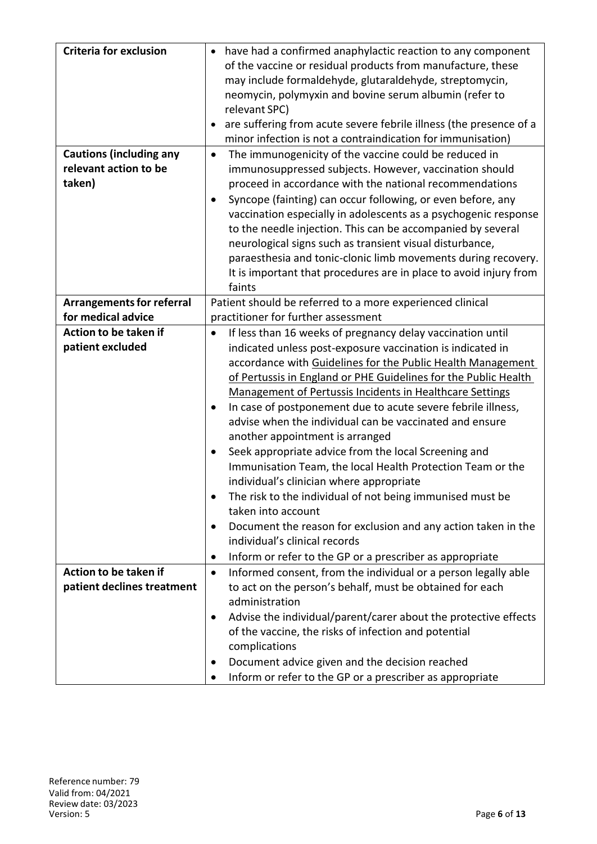| <b>Criteria for exclusion</b>    | • have had a confirmed anaphylactic reaction to any component               |
|----------------------------------|-----------------------------------------------------------------------------|
|                                  | of the vaccine or residual products from manufacture, these                 |
|                                  | may include formaldehyde, glutaraldehyde, streptomycin,                     |
|                                  | neomycin, polymyxin and bovine serum albumin (refer to                      |
|                                  | relevant SPC)                                                               |
|                                  | are suffering from acute severe febrile illness (the presence of a          |
|                                  | minor infection is not a contraindication for immunisation)                 |
| <b>Cautions (including any</b>   | The immunogenicity of the vaccine could be reduced in<br>$\bullet$          |
| relevant action to be            | immunosuppressed subjects. However, vaccination should                      |
| taken)                           | proceed in accordance with the national recommendations                     |
|                                  | Syncope (fainting) can occur following, or even before, any                 |
|                                  | vaccination especially in adolescents as a psychogenic response             |
|                                  | to the needle injection. This can be accompanied by several                 |
|                                  | neurological signs such as transient visual disturbance,                    |
|                                  | paraesthesia and tonic-clonic limb movements during recovery.               |
|                                  | It is important that procedures are in place to avoid injury from           |
|                                  | faints                                                                      |
| <b>Arrangements for referral</b> | Patient should be referred to a more experienced clinical                   |
| for medical advice               | practitioner for further assessment                                         |
| Action to be taken if            | If less than 16 weeks of pregnancy delay vaccination until<br>٠             |
| patient excluded                 | indicated unless post-exposure vaccination is indicated in                  |
|                                  | accordance with Guidelines for the Public Health Management                 |
|                                  | of Pertussis in England or PHE Guidelines for the Public Health             |
|                                  |                                                                             |
|                                  | <b>Management of Pertussis Incidents in Healthcare Settings</b>             |
|                                  | In case of postponement due to acute severe febrile illness,                |
|                                  | advise when the individual can be vaccinated and ensure                     |
|                                  | another appointment is arranged                                             |
|                                  | Seek appropriate advice from the local Screening and                        |
|                                  | Immunisation Team, the local Health Protection Team or the                  |
|                                  | individual's clinician where appropriate                                    |
|                                  | The risk to the individual of not being immunised must be                   |
|                                  | taken into account                                                          |
|                                  | Document the reason for exclusion and any action taken in the<br>$\bullet$  |
|                                  | individual's clinical records                                               |
|                                  | Inform or refer to the GP or a prescriber as appropriate<br>$\bullet$       |
| Action to be taken if            | Informed consent, from the individual or a person legally able<br>$\bullet$ |
| patient declines treatment       | to act on the person's behalf, must be obtained for each                    |
|                                  | administration                                                              |
|                                  | Advise the individual/parent/carer about the protective effects             |
|                                  | of the vaccine, the risks of infection and potential                        |
|                                  | complications                                                               |
|                                  | Document advice given and the decision reached                              |
|                                  | Inform or refer to the GP or a prescriber as appropriate                    |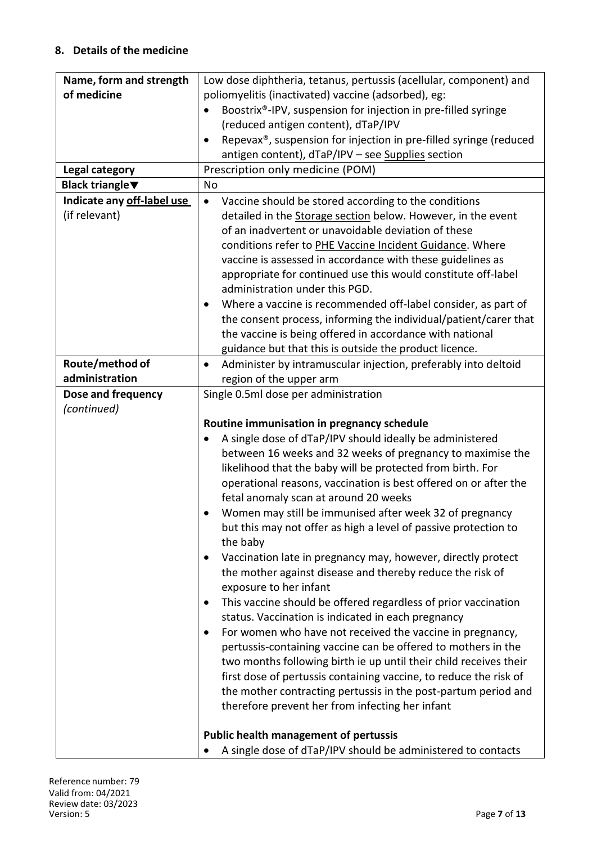#### **8. Details of the medicine**

| Name, form and strength    | Low dose diphtheria, tetanus, pertussis (acellular, component) and  |  |  |
|----------------------------|---------------------------------------------------------------------|--|--|
| of medicine                | poliomyelitis (inactivated) vaccine (adsorbed), eg:                 |  |  |
|                            | Boostrix®-IPV, suspension for injection in pre-filled syringe       |  |  |
|                            | (reduced antigen content), dTaP/IPV                                 |  |  |
|                            | Repevax®, suspension for injection in pre-filled syringe (reduced   |  |  |
|                            | antigen content), dTaP/IPV - see Supplies section                   |  |  |
| Legal category             | Prescription only medicine (POM)                                    |  |  |
| <b>Black triangle</b> ▼    | No                                                                  |  |  |
| Indicate any off-label use | Vaccine should be stored according to the conditions<br>$\bullet$   |  |  |
| (if relevant)              | detailed in the Storage section below. However, in the event        |  |  |
|                            | of an inadvertent or unavoidable deviation of these                 |  |  |
|                            | conditions refer to PHE Vaccine Incident Guidance. Where            |  |  |
|                            | vaccine is assessed in accordance with these guidelines as          |  |  |
|                            | appropriate for continued use this would constitute off-label       |  |  |
|                            | administration under this PGD.                                      |  |  |
|                            | Where a vaccine is recommended off-label consider, as part of       |  |  |
|                            | the consent process, informing the individual/patient/carer that    |  |  |
|                            | the vaccine is being offered in accordance with national            |  |  |
|                            | guidance but that this is outside the product licence.              |  |  |
| Route/method of            | Administer by intramuscular injection, preferably into deltoid      |  |  |
| administration             | region of the upper arm                                             |  |  |
| Dose and frequency         | Single 0.5ml dose per administration                                |  |  |
| (continued)                |                                                                     |  |  |
|                            | Routine immunisation in pregnancy schedule                          |  |  |
|                            | A single dose of dTaP/IPV should ideally be administered            |  |  |
|                            | between 16 weeks and 32 weeks of pregnancy to maximise the          |  |  |
|                            | likelihood that the baby will be protected from birth. For          |  |  |
|                            | operational reasons, vaccination is best offered on or after the    |  |  |
|                            | fetal anomaly scan at around 20 weeks                               |  |  |
|                            | Women may still be immunised after week 32 of pregnancy             |  |  |
|                            | but this may not offer as high a level of passive protection to     |  |  |
|                            | the baby                                                            |  |  |
|                            | Vaccination late in pregnancy may, however, directly protect        |  |  |
|                            | the mother against disease and thereby reduce the risk of           |  |  |
|                            | exposure to her infant                                              |  |  |
|                            | This vaccine should be offered regardless of prior vaccination<br>٠ |  |  |
|                            | status. Vaccination is indicated in each pregnancy                  |  |  |
|                            | For women who have not received the vaccine in pregnancy,<br>٠      |  |  |
|                            | pertussis-containing vaccine can be offered to mothers in the       |  |  |
|                            | two months following birth ie up until their child receives their   |  |  |
|                            | first dose of pertussis containing vaccine, to reduce the risk of   |  |  |
|                            | the mother contracting pertussis in the post-partum period and      |  |  |
|                            | therefore prevent her from infecting her infant                     |  |  |
|                            |                                                                     |  |  |
|                            | <b>Public health management of pertussis</b>                        |  |  |
|                            | A single dose of dTaP/IPV should be administered to contacts        |  |  |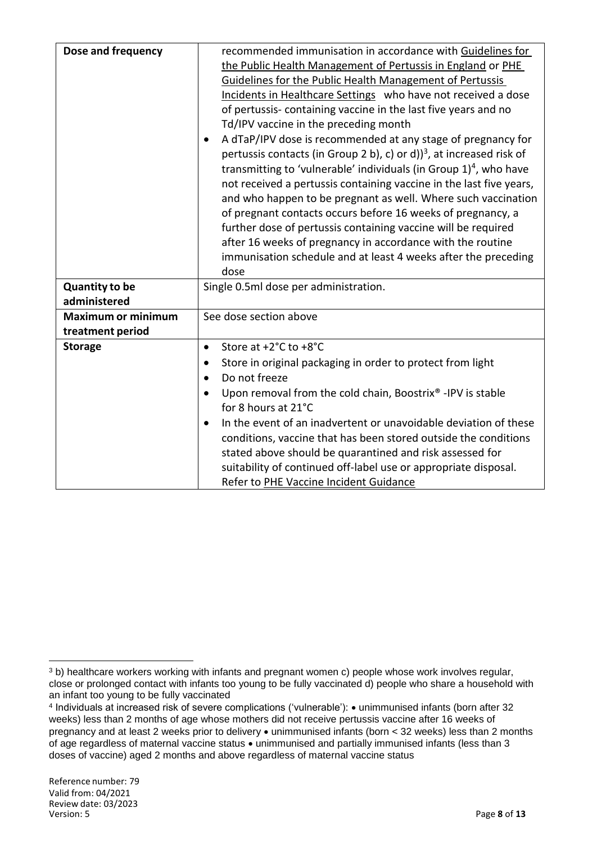| Dose and frequency                            | recommended immunisation in accordance with Guidelines for<br>the Public Health Management of Pertussis in England or PHE<br>Guidelines for the Public Health Management of Pertussis<br>Incidents in Healthcare Settings who have not received a dose<br>of pertussis-containing vaccine in the last five years and no<br>Td/IPV vaccine in the preceding month<br>A dTaP/IPV dose is recommended at any stage of pregnancy for<br>pertussis contacts (in Group 2 b), c) or d) $3^3$ , at increased risk of<br>transmitting to 'vulnerable' individuals (in Group $1)^4$ , who have<br>not received a pertussis containing vaccine in the last five years,<br>and who happen to be pregnant as well. Where such vaccination<br>of pregnant contacts occurs before 16 weeks of pregnancy, a<br>further dose of pertussis containing vaccine will be required<br>after 16 weeks of pregnancy in accordance with the routine<br>immunisation schedule and at least 4 weeks after the preceding |
|-----------------------------------------------|----------------------------------------------------------------------------------------------------------------------------------------------------------------------------------------------------------------------------------------------------------------------------------------------------------------------------------------------------------------------------------------------------------------------------------------------------------------------------------------------------------------------------------------------------------------------------------------------------------------------------------------------------------------------------------------------------------------------------------------------------------------------------------------------------------------------------------------------------------------------------------------------------------------------------------------------------------------------------------------------|
|                                               | dose                                                                                                                                                                                                                                                                                                                                                                                                                                                                                                                                                                                                                                                                                                                                                                                                                                                                                                                                                                                         |
| <b>Quantity to be</b><br>administered         | Single 0.5ml dose per administration.                                                                                                                                                                                                                                                                                                                                                                                                                                                                                                                                                                                                                                                                                                                                                                                                                                                                                                                                                        |
| <b>Maximum or minimum</b><br>treatment period | See dose section above                                                                                                                                                                                                                                                                                                                                                                                                                                                                                                                                                                                                                                                                                                                                                                                                                                                                                                                                                                       |
| <b>Storage</b>                                | Store at +2°C to +8°C<br>$\bullet$                                                                                                                                                                                                                                                                                                                                                                                                                                                                                                                                                                                                                                                                                                                                                                                                                                                                                                                                                           |
|                                               | Store in original packaging in order to protect from light<br>$\bullet$                                                                                                                                                                                                                                                                                                                                                                                                                                                                                                                                                                                                                                                                                                                                                                                                                                                                                                                      |
|                                               | Do not freeze<br>$\bullet$                                                                                                                                                                                                                                                                                                                                                                                                                                                                                                                                                                                                                                                                                                                                                                                                                                                                                                                                                                   |
|                                               | Upon removal from the cold chain, Boostrix® -IPV is stable<br>$\bullet$<br>for 8 hours at 21°C                                                                                                                                                                                                                                                                                                                                                                                                                                                                                                                                                                                                                                                                                                                                                                                                                                                                                               |
|                                               | In the event of an inadvertent or unavoidable deviation of these<br>conditions, vaccine that has been stored outside the conditions<br>stated above should be quarantined and risk assessed for<br>suitability of continued off-label use or appropriate disposal.<br>Refer to PHE Vaccine Incident Guidance                                                                                                                                                                                                                                                                                                                                                                                                                                                                                                                                                                                                                                                                                 |

 $\ddot{\phantom{a}}$ <sup>3</sup> b) healthcare workers working with infants and pregnant women c) people whose work involves regular, close or prolonged contact with infants too young to be fully vaccinated d) people who share a household with an infant too young to be fully vaccinated

<sup>4</sup> Individuals at increased risk of severe complications ('vulnerable'): unimmunised infants (born after 32 weeks) less than 2 months of age whose mothers did not receive pertussis vaccine after 16 weeks of pregnancy and at least 2 weeks prior to delivery  $\bullet$  unimmunised infants (born < 32 weeks) less than 2 months of age regardless of maternal vaccine status  $\bullet$  unimmunised and partially immunised infants (less than 3 doses of vaccine) aged 2 months and above regardless of maternal vaccine status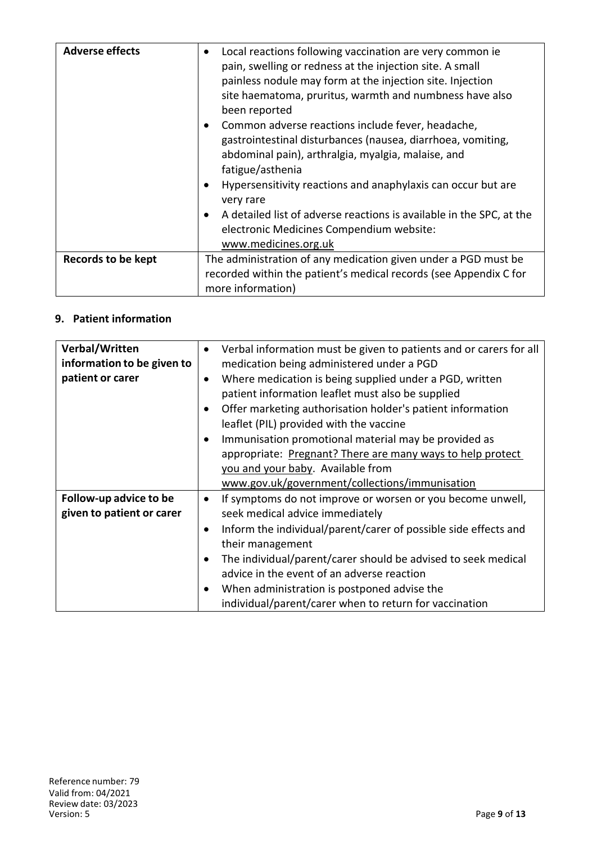| <b>Adverse effects</b>    | Local reactions following vaccination are very common ie<br>pain, swelling or redness at the injection site. A small<br>painless nodule may form at the injection site. Injection<br>site haematoma, pruritus, warmth and numbness have also<br>been reported<br>Common adverse reactions include fever, headache,<br>$\bullet$<br>gastrointestinal disturbances (nausea, diarrhoea, vomiting,<br>abdominal pain), arthralgia, myalgia, malaise, and<br>fatigue/asthenia<br>Hypersensitivity reactions and anaphylaxis can occur but are<br>very rare<br>A detailed list of adverse reactions is available in the SPC, at the<br>electronic Medicines Compendium website: |
|---------------------------|---------------------------------------------------------------------------------------------------------------------------------------------------------------------------------------------------------------------------------------------------------------------------------------------------------------------------------------------------------------------------------------------------------------------------------------------------------------------------------------------------------------------------------------------------------------------------------------------------------------------------------------------------------------------------|
|                           | www.medicines.org.uk                                                                                                                                                                                                                                                                                                                                                                                                                                                                                                                                                                                                                                                      |
| <b>Records to be kept</b> | The administration of any medication given under a PGD must be<br>recorded within the patient's medical records (see Appendix C for<br>more information)                                                                                                                                                                                                                                                                                                                                                                                                                                                                                                                  |

### **9. Patient information**

| Verbal/Written             |           | Verbal information must be given to patients and or carers for all |
|----------------------------|-----------|--------------------------------------------------------------------|
| information to be given to |           | medication being administered under a PGD                          |
| patient or carer           | $\bullet$ | Where medication is being supplied under a PGD, written            |
|                            |           | patient information leaflet must also be supplied                  |
|                            |           | Offer marketing authorisation holder's patient information         |
|                            |           | leaflet (PIL) provided with the vaccine                            |
|                            |           | Immunisation promotional material may be provided as               |
|                            |           | appropriate: Pregnant? There are many ways to help protect         |
|                            |           | you and your baby. Available from                                  |
|                            |           | www.gov.uk/government/collections/immunisation                     |
| Follow-up advice to be     | $\bullet$ | If symptoms do not improve or worsen or you become unwell,         |
| given to patient or carer  |           | seek medical advice immediately                                    |
|                            | $\bullet$ | Inform the individual/parent/carer of possible side effects and    |
|                            |           | their management                                                   |
|                            |           | The individual/parent/carer should be advised to seek medical      |
|                            |           | advice in the event of an adverse reaction                         |
|                            |           | When administration is postponed advise the                        |
|                            |           | individual/parent/carer when to return for vaccination             |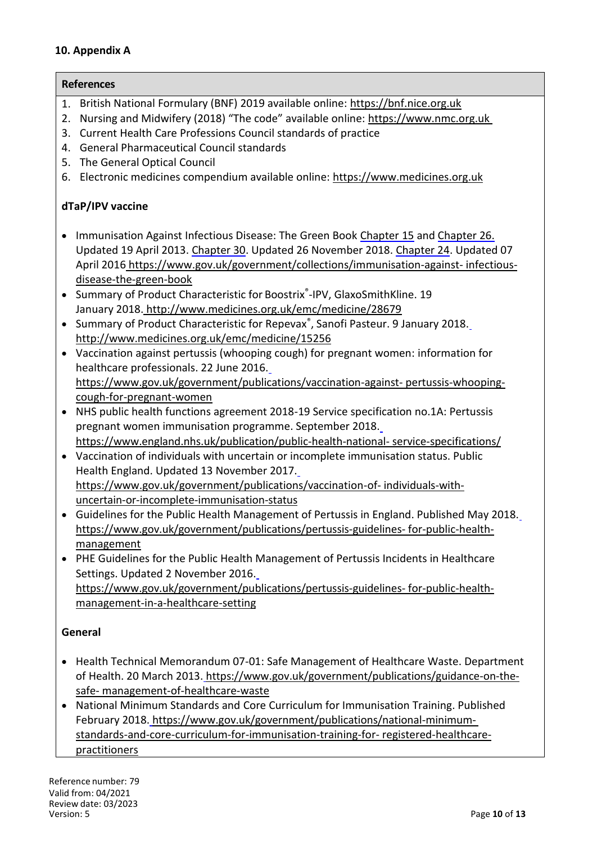#### **10. Appendix A**

**References**

### 1. British National Formulary (BNF) 2019 available online: https://bnf.nice.org.uk

- 2. Nursing and Midwifery (2018) "The code" available online: https://www.nmc.org.uk
- 3. Current Health Care Professions Council standards of practice
- 4. General Pharmaceutical Council standards
- 5. The General Optical Council
- 6. Electronic medicines compendium available online: https://www.medicines.org.uk

#### **dTaP/IPV vaccine**

- Immunisation Against Infectious Disease: The Green Book Chapter [15](https://www.gov.uk/government/publications/diphtheria-the-green-book-chapter-15) and Chapter 26. Updated 19 April 2013. Chapter 30. Updated 26 November 2018. Chapter 24. Updated 07 April 2016 https://www.gov.uk/government/collections/immunisation-against- [infectious](https://www.gov.uk/government/collections/immunisation-against-infectious-disease-the-green-book)[disease-the-green-book](https://www.gov.uk/government/collections/immunisation-against-infectious-disease-the-green-book)
- Summary of Product Characteristic for Boostrix®-IPV, GlaxoSmithKline. 19 January 2018. http://www.medicines.org.uk/emc/medicine/28679
- Summary of Product Characteristic for Repevax<sup>®</sup>, Sanofi Pasteur. 9 January 2018. http://www.medicines.org.uk/emc/medicine/15256
- Vaccination against pertussis (whooping cough) for pregnant women: information for healthcare professionals. 22 June 2016. https://www.gov.uk/government/publications/vaccination-against- [pertussis-whooping](https://www.gov.uk/government/publications/vaccination-against-pertussis-whooping-cough-for-pregnant-women)[cough-for-pregnant-women](https://www.gov.uk/government/publications/vaccination-against-pertussis-whooping-cough-for-pregnant-women)
- NHS public health functions agreement 2018-19 Service specification no.1A: Pertussis pregnant women immunisation programme. September 2018. https://www.england.nhs.uk/publication/public-health-national- [service-specifications/](https://www.england.nhs.uk/publication/public-health-national-service-specifications/)
- Vaccination of individuals with uncertain or incomplete immunisation status. Public Health England. Updated 13 November 2017. [https://www.gov.uk/government/publications/vaccination-of-](https://www.gov.uk/government/publications/vaccination-of-individuals-with-uncertain-or-incomplete-immunisation-status) individuals-withuncertain-or-incomplete-immunisation-status
- Guidelines for the Public Health Management of Pertussis in England. Published May 2018. [https://www.gov.uk/government/publications/pertussis-guidelines-](https://www.gov.uk/government/publications/pertussis-guidelines-for-public-health-management) for-public-healthmanagement
- PHE Guidelines for the Public Health Management of Pertussis Incidents in Healthcare Settings. Updated 2 November 2016. [https://www.gov.uk/government/publications/pertussis-guidelines-](https://www.gov.uk/government/publications/pertussis-guidelines-for-public-health-management-in-a-healthcare-setting) for-public-healthmanagement-in-a-healthcare-setting

#### **General**

- Health Technical Memorandum 07-01: Safe Management of Healthcare Waste. Department of Health. 20 March 2013. [https://www.gov.uk/government/publications/guidance-on-the](https://www.gov.uk/government/publications/guidance-on-the-safe-management-of-healthcare-waste)[safe-](https://www.gov.uk/government/publications/guidance-on-the-safe-management-of-healthcare-waste) management-of-healthcare-waste
- National Minimum Standards and Core Curriculum for Immunisation Training. Published February 2018. [https://www.gov.uk/government/publications/national-minimum](https://www.gov.uk/government/publications/national-minimum-standards-and-core-curriculum-for-immunisation-training-for-registered-healthcare-practitioners)standards-and-core-curriculum-for-immunisation-training-for- [registered-healthcare](https://www.gov.uk/government/publications/national-minimum-standards-and-core-curriculum-for-immunisation-training-for-registered-healthcare-practitioners)[practitioners](https://www.gov.uk/government/publications/national-minimum-standards-and-core-curriculum-for-immunisation-training-for-registered-healthcare-practitioners)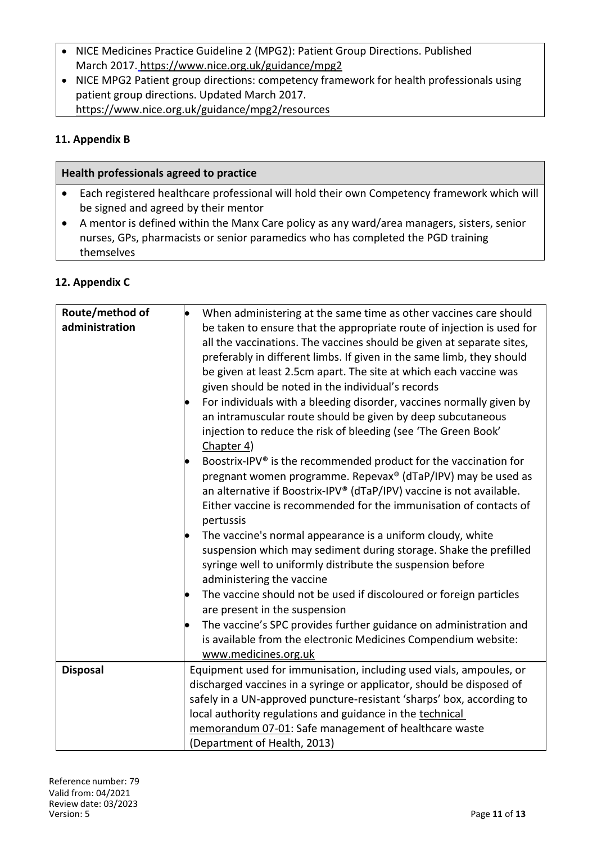- NICE Medicines Practice Guideline 2 (MPG2): Patient Group Directions. Published March 2017. https://www.nice.org.uk/guidance/mpg2
- NICE MPG2 Patient group directions: competency framework for health professionals using patient group directions. Updated March 2017. https://www.nice.org.uk/guidance/mpg2/resources

#### **11. Appendix B**

| Health professionals agreed to practice |  |                                                                                             |  |  |
|-----------------------------------------|--|---------------------------------------------------------------------------------------------|--|--|
|                                         |  | Each registered healthcare professional will hold their own Competency framework which will |  |  |
|                                         |  | be signed and agreed by their mentor                                                        |  |  |
|                                         |  | A mentor is defined within the Manx Care policy as any ward/area managers, sisters, senior  |  |  |
|                                         |  |                                                                                             |  |  |

nurses, GPs, pharmacists or senior paramedics who has completed the PGD training themselves

#### **12. Appendix C**

| Route/method of<br>administration | When administering at the same time as other vaccines care should<br>be taken to ensure that the appropriate route of injection is used for<br>all the vaccinations. The vaccines should be given at separate sites,<br>preferably in different limbs. If given in the same limb, they should<br>be given at least 2.5cm apart. The site at which each vaccine was<br>given should be noted in the individual's records<br>For individuals with a bleeding disorder, vaccines normally given by<br>$\bullet$<br>an intramuscular route should be given by deep subcutaneous<br>injection to reduce the risk of bleeding (see 'The Green Book'<br>Chapter 4)<br>Boostrix-IPV® is the recommended product for the vaccination for<br>pregnant women programme. Repevax® (dTaP/IPV) may be used as<br>an alternative if Boostrix-IPV® (dTaP/IPV) vaccine is not available.<br>Either vaccine is recommended for the immunisation of contacts of<br>pertussis<br>The vaccine's normal appearance is a uniform cloudy, white<br>suspension which may sediment during storage. Shake the prefilled |
|-----------------------------------|----------------------------------------------------------------------------------------------------------------------------------------------------------------------------------------------------------------------------------------------------------------------------------------------------------------------------------------------------------------------------------------------------------------------------------------------------------------------------------------------------------------------------------------------------------------------------------------------------------------------------------------------------------------------------------------------------------------------------------------------------------------------------------------------------------------------------------------------------------------------------------------------------------------------------------------------------------------------------------------------------------------------------------------------------------------------------------------------|
|                                   | syringe well to uniformly distribute the suspension before<br>administering the vaccine<br>The vaccine should not be used if discoloured or foreign particles<br>are present in the suspension<br>The vaccine's SPC provides further guidance on administration and<br>is available from the electronic Medicines Compendium website:                                                                                                                                                                                                                                                                                                                                                                                                                                                                                                                                                                                                                                                                                                                                                        |
|                                   | www.medicines.org.uk                                                                                                                                                                                                                                                                                                                                                                                                                                                                                                                                                                                                                                                                                                                                                                                                                                                                                                                                                                                                                                                                         |
| <b>Disposal</b>                   | Equipment used for immunisation, including used vials, ampoules, or<br>discharged vaccines in a syringe or applicator, should be disposed of<br>safely in a UN-approved puncture-resistant 'sharps' box, according to<br>local authority regulations and guidance in the technical<br>memorandum 07-01: Safe management of healthcare waste<br>(Department of Health, 2013)                                                                                                                                                                                                                                                                                                                                                                                                                                                                                                                                                                                                                                                                                                                  |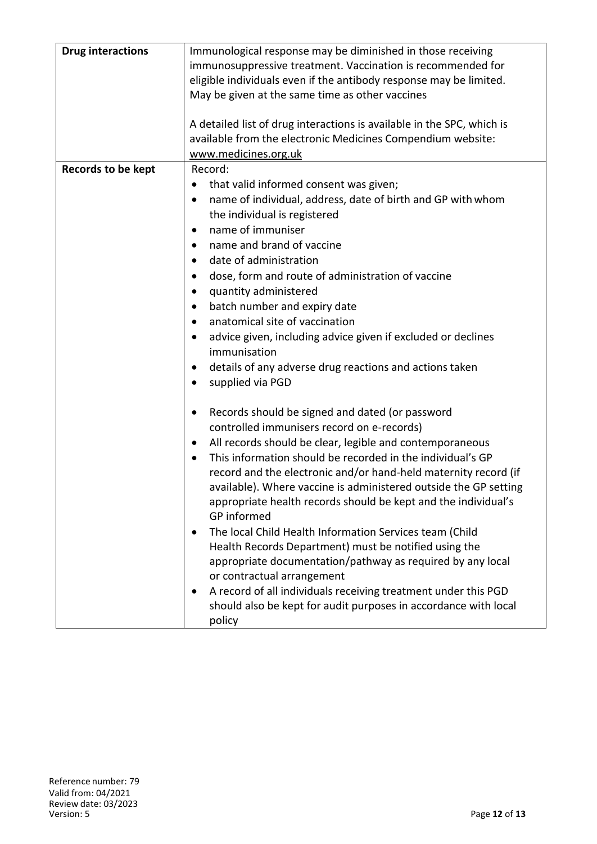| <b>Drug interactions</b><br>Immunological response may be diminished in those receiving<br>immunosuppressive treatment. Vaccination is recommended for<br>eligible individuals even if the antibody response may be limited.<br>May be given at the same time as other vaccines<br>A detailed list of drug interactions is available in the SPC, which is<br>available from the electronic Medicines Compendium website:<br>www.medicines.org.uk<br><b>Records to be kept</b><br>Record:<br>that valid informed consent was given;<br>name of individual, address, date of birth and GP with whom<br>٠<br>the individual is registered<br>name of immuniser<br>٠<br>name and brand of vaccine<br>$\bullet$<br>date of administration<br>٠<br>dose, form and route of administration of vaccine<br>quantity administered<br>٠<br>batch number and expiry date<br>$\bullet$<br>anatomical site of vaccination<br>٠<br>advice given, including advice given if excluded or declines<br>immunisation<br>details of any adverse drug reactions and actions taken<br>supplied via PGD<br>Records should be signed and dated (or password<br>controlled immunisers record on e-records)<br>All records should be clear, legible and contemporaneous<br>$\bullet$<br>This information should be recorded in the individual's GP<br>record and the electronic and/or hand-held maternity record (if<br>available). Where vaccine is administered outside the GP setting<br>appropriate health records should be kept and the individual's<br>GP informed<br>The local Child Health Information Services team (Child<br>٠<br>Health Records Department) must be notified using the<br>appropriate documentation/pathway as required by any local<br>or contractual arrangement<br>A record of all individuals receiving treatment under this PGD<br>should also be kept for audit purposes in accordance with local<br>policy |  |
|---------------------------------------------------------------------------------------------------------------------------------------------------------------------------------------------------------------------------------------------------------------------------------------------------------------------------------------------------------------------------------------------------------------------------------------------------------------------------------------------------------------------------------------------------------------------------------------------------------------------------------------------------------------------------------------------------------------------------------------------------------------------------------------------------------------------------------------------------------------------------------------------------------------------------------------------------------------------------------------------------------------------------------------------------------------------------------------------------------------------------------------------------------------------------------------------------------------------------------------------------------------------------------------------------------------------------------------------------------------------------------------------------------------------------------------------------------------------------------------------------------------------------------------------------------------------------------------------------------------------------------------------------------------------------------------------------------------------------------------------------------------------------------------------------------------------------------------------------------------------------------------------------------------------|--|
|                                                                                                                                                                                                                                                                                                                                                                                                                                                                                                                                                                                                                                                                                                                                                                                                                                                                                                                                                                                                                                                                                                                                                                                                                                                                                                                                                                                                                                                                                                                                                                                                                                                                                                                                                                                                                                                                                                                     |  |
|                                                                                                                                                                                                                                                                                                                                                                                                                                                                                                                                                                                                                                                                                                                                                                                                                                                                                                                                                                                                                                                                                                                                                                                                                                                                                                                                                                                                                                                                                                                                                                                                                                                                                                                                                                                                                                                                                                                     |  |
|                                                                                                                                                                                                                                                                                                                                                                                                                                                                                                                                                                                                                                                                                                                                                                                                                                                                                                                                                                                                                                                                                                                                                                                                                                                                                                                                                                                                                                                                                                                                                                                                                                                                                                                                                                                                                                                                                                                     |  |
|                                                                                                                                                                                                                                                                                                                                                                                                                                                                                                                                                                                                                                                                                                                                                                                                                                                                                                                                                                                                                                                                                                                                                                                                                                                                                                                                                                                                                                                                                                                                                                                                                                                                                                                                                                                                                                                                                                                     |  |
|                                                                                                                                                                                                                                                                                                                                                                                                                                                                                                                                                                                                                                                                                                                                                                                                                                                                                                                                                                                                                                                                                                                                                                                                                                                                                                                                                                                                                                                                                                                                                                                                                                                                                                                                                                                                                                                                                                                     |  |
|                                                                                                                                                                                                                                                                                                                                                                                                                                                                                                                                                                                                                                                                                                                                                                                                                                                                                                                                                                                                                                                                                                                                                                                                                                                                                                                                                                                                                                                                                                                                                                                                                                                                                                                                                                                                                                                                                                                     |  |
|                                                                                                                                                                                                                                                                                                                                                                                                                                                                                                                                                                                                                                                                                                                                                                                                                                                                                                                                                                                                                                                                                                                                                                                                                                                                                                                                                                                                                                                                                                                                                                                                                                                                                                                                                                                                                                                                                                                     |  |
|                                                                                                                                                                                                                                                                                                                                                                                                                                                                                                                                                                                                                                                                                                                                                                                                                                                                                                                                                                                                                                                                                                                                                                                                                                                                                                                                                                                                                                                                                                                                                                                                                                                                                                                                                                                                                                                                                                                     |  |
|                                                                                                                                                                                                                                                                                                                                                                                                                                                                                                                                                                                                                                                                                                                                                                                                                                                                                                                                                                                                                                                                                                                                                                                                                                                                                                                                                                                                                                                                                                                                                                                                                                                                                                                                                                                                                                                                                                                     |  |
|                                                                                                                                                                                                                                                                                                                                                                                                                                                                                                                                                                                                                                                                                                                                                                                                                                                                                                                                                                                                                                                                                                                                                                                                                                                                                                                                                                                                                                                                                                                                                                                                                                                                                                                                                                                                                                                                                                                     |  |
|                                                                                                                                                                                                                                                                                                                                                                                                                                                                                                                                                                                                                                                                                                                                                                                                                                                                                                                                                                                                                                                                                                                                                                                                                                                                                                                                                                                                                                                                                                                                                                                                                                                                                                                                                                                                                                                                                                                     |  |
|                                                                                                                                                                                                                                                                                                                                                                                                                                                                                                                                                                                                                                                                                                                                                                                                                                                                                                                                                                                                                                                                                                                                                                                                                                                                                                                                                                                                                                                                                                                                                                                                                                                                                                                                                                                                                                                                                                                     |  |
|                                                                                                                                                                                                                                                                                                                                                                                                                                                                                                                                                                                                                                                                                                                                                                                                                                                                                                                                                                                                                                                                                                                                                                                                                                                                                                                                                                                                                                                                                                                                                                                                                                                                                                                                                                                                                                                                                                                     |  |
|                                                                                                                                                                                                                                                                                                                                                                                                                                                                                                                                                                                                                                                                                                                                                                                                                                                                                                                                                                                                                                                                                                                                                                                                                                                                                                                                                                                                                                                                                                                                                                                                                                                                                                                                                                                                                                                                                                                     |  |
|                                                                                                                                                                                                                                                                                                                                                                                                                                                                                                                                                                                                                                                                                                                                                                                                                                                                                                                                                                                                                                                                                                                                                                                                                                                                                                                                                                                                                                                                                                                                                                                                                                                                                                                                                                                                                                                                                                                     |  |
|                                                                                                                                                                                                                                                                                                                                                                                                                                                                                                                                                                                                                                                                                                                                                                                                                                                                                                                                                                                                                                                                                                                                                                                                                                                                                                                                                                                                                                                                                                                                                                                                                                                                                                                                                                                                                                                                                                                     |  |
|                                                                                                                                                                                                                                                                                                                                                                                                                                                                                                                                                                                                                                                                                                                                                                                                                                                                                                                                                                                                                                                                                                                                                                                                                                                                                                                                                                                                                                                                                                                                                                                                                                                                                                                                                                                                                                                                                                                     |  |
|                                                                                                                                                                                                                                                                                                                                                                                                                                                                                                                                                                                                                                                                                                                                                                                                                                                                                                                                                                                                                                                                                                                                                                                                                                                                                                                                                                                                                                                                                                                                                                                                                                                                                                                                                                                                                                                                                                                     |  |
|                                                                                                                                                                                                                                                                                                                                                                                                                                                                                                                                                                                                                                                                                                                                                                                                                                                                                                                                                                                                                                                                                                                                                                                                                                                                                                                                                                                                                                                                                                                                                                                                                                                                                                                                                                                                                                                                                                                     |  |
|                                                                                                                                                                                                                                                                                                                                                                                                                                                                                                                                                                                                                                                                                                                                                                                                                                                                                                                                                                                                                                                                                                                                                                                                                                                                                                                                                                                                                                                                                                                                                                                                                                                                                                                                                                                                                                                                                                                     |  |
|                                                                                                                                                                                                                                                                                                                                                                                                                                                                                                                                                                                                                                                                                                                                                                                                                                                                                                                                                                                                                                                                                                                                                                                                                                                                                                                                                                                                                                                                                                                                                                                                                                                                                                                                                                                                                                                                                                                     |  |
|                                                                                                                                                                                                                                                                                                                                                                                                                                                                                                                                                                                                                                                                                                                                                                                                                                                                                                                                                                                                                                                                                                                                                                                                                                                                                                                                                                                                                                                                                                                                                                                                                                                                                                                                                                                                                                                                                                                     |  |
|                                                                                                                                                                                                                                                                                                                                                                                                                                                                                                                                                                                                                                                                                                                                                                                                                                                                                                                                                                                                                                                                                                                                                                                                                                                                                                                                                                                                                                                                                                                                                                                                                                                                                                                                                                                                                                                                                                                     |  |
|                                                                                                                                                                                                                                                                                                                                                                                                                                                                                                                                                                                                                                                                                                                                                                                                                                                                                                                                                                                                                                                                                                                                                                                                                                                                                                                                                                                                                                                                                                                                                                                                                                                                                                                                                                                                                                                                                                                     |  |
|                                                                                                                                                                                                                                                                                                                                                                                                                                                                                                                                                                                                                                                                                                                                                                                                                                                                                                                                                                                                                                                                                                                                                                                                                                                                                                                                                                                                                                                                                                                                                                                                                                                                                                                                                                                                                                                                                                                     |  |
|                                                                                                                                                                                                                                                                                                                                                                                                                                                                                                                                                                                                                                                                                                                                                                                                                                                                                                                                                                                                                                                                                                                                                                                                                                                                                                                                                                                                                                                                                                                                                                                                                                                                                                                                                                                                                                                                                                                     |  |
|                                                                                                                                                                                                                                                                                                                                                                                                                                                                                                                                                                                                                                                                                                                                                                                                                                                                                                                                                                                                                                                                                                                                                                                                                                                                                                                                                                                                                                                                                                                                                                                                                                                                                                                                                                                                                                                                                                                     |  |
|                                                                                                                                                                                                                                                                                                                                                                                                                                                                                                                                                                                                                                                                                                                                                                                                                                                                                                                                                                                                                                                                                                                                                                                                                                                                                                                                                                                                                                                                                                                                                                                                                                                                                                                                                                                                                                                                                                                     |  |
|                                                                                                                                                                                                                                                                                                                                                                                                                                                                                                                                                                                                                                                                                                                                                                                                                                                                                                                                                                                                                                                                                                                                                                                                                                                                                                                                                                                                                                                                                                                                                                                                                                                                                                                                                                                                                                                                                                                     |  |
|                                                                                                                                                                                                                                                                                                                                                                                                                                                                                                                                                                                                                                                                                                                                                                                                                                                                                                                                                                                                                                                                                                                                                                                                                                                                                                                                                                                                                                                                                                                                                                                                                                                                                                                                                                                                                                                                                                                     |  |
|                                                                                                                                                                                                                                                                                                                                                                                                                                                                                                                                                                                                                                                                                                                                                                                                                                                                                                                                                                                                                                                                                                                                                                                                                                                                                                                                                                                                                                                                                                                                                                                                                                                                                                                                                                                                                                                                                                                     |  |
|                                                                                                                                                                                                                                                                                                                                                                                                                                                                                                                                                                                                                                                                                                                                                                                                                                                                                                                                                                                                                                                                                                                                                                                                                                                                                                                                                                                                                                                                                                                                                                                                                                                                                                                                                                                                                                                                                                                     |  |
|                                                                                                                                                                                                                                                                                                                                                                                                                                                                                                                                                                                                                                                                                                                                                                                                                                                                                                                                                                                                                                                                                                                                                                                                                                                                                                                                                                                                                                                                                                                                                                                                                                                                                                                                                                                                                                                                                                                     |  |
|                                                                                                                                                                                                                                                                                                                                                                                                                                                                                                                                                                                                                                                                                                                                                                                                                                                                                                                                                                                                                                                                                                                                                                                                                                                                                                                                                                                                                                                                                                                                                                                                                                                                                                                                                                                                                                                                                                                     |  |
|                                                                                                                                                                                                                                                                                                                                                                                                                                                                                                                                                                                                                                                                                                                                                                                                                                                                                                                                                                                                                                                                                                                                                                                                                                                                                                                                                                                                                                                                                                                                                                                                                                                                                                                                                                                                                                                                                                                     |  |
|                                                                                                                                                                                                                                                                                                                                                                                                                                                                                                                                                                                                                                                                                                                                                                                                                                                                                                                                                                                                                                                                                                                                                                                                                                                                                                                                                                                                                                                                                                                                                                                                                                                                                                                                                                                                                                                                                                                     |  |
|                                                                                                                                                                                                                                                                                                                                                                                                                                                                                                                                                                                                                                                                                                                                                                                                                                                                                                                                                                                                                                                                                                                                                                                                                                                                                                                                                                                                                                                                                                                                                                                                                                                                                                                                                                                                                                                                                                                     |  |
|                                                                                                                                                                                                                                                                                                                                                                                                                                                                                                                                                                                                                                                                                                                                                                                                                                                                                                                                                                                                                                                                                                                                                                                                                                                                                                                                                                                                                                                                                                                                                                                                                                                                                                                                                                                                                                                                                                                     |  |
|                                                                                                                                                                                                                                                                                                                                                                                                                                                                                                                                                                                                                                                                                                                                                                                                                                                                                                                                                                                                                                                                                                                                                                                                                                                                                                                                                                                                                                                                                                                                                                                                                                                                                                                                                                                                                                                                                                                     |  |
|                                                                                                                                                                                                                                                                                                                                                                                                                                                                                                                                                                                                                                                                                                                                                                                                                                                                                                                                                                                                                                                                                                                                                                                                                                                                                                                                                                                                                                                                                                                                                                                                                                                                                                                                                                                                                                                                                                                     |  |
|                                                                                                                                                                                                                                                                                                                                                                                                                                                                                                                                                                                                                                                                                                                                                                                                                                                                                                                                                                                                                                                                                                                                                                                                                                                                                                                                                                                                                                                                                                                                                                                                                                                                                                                                                                                                                                                                                                                     |  |
|                                                                                                                                                                                                                                                                                                                                                                                                                                                                                                                                                                                                                                                                                                                                                                                                                                                                                                                                                                                                                                                                                                                                                                                                                                                                                                                                                                                                                                                                                                                                                                                                                                                                                                                                                                                                                                                                                                                     |  |